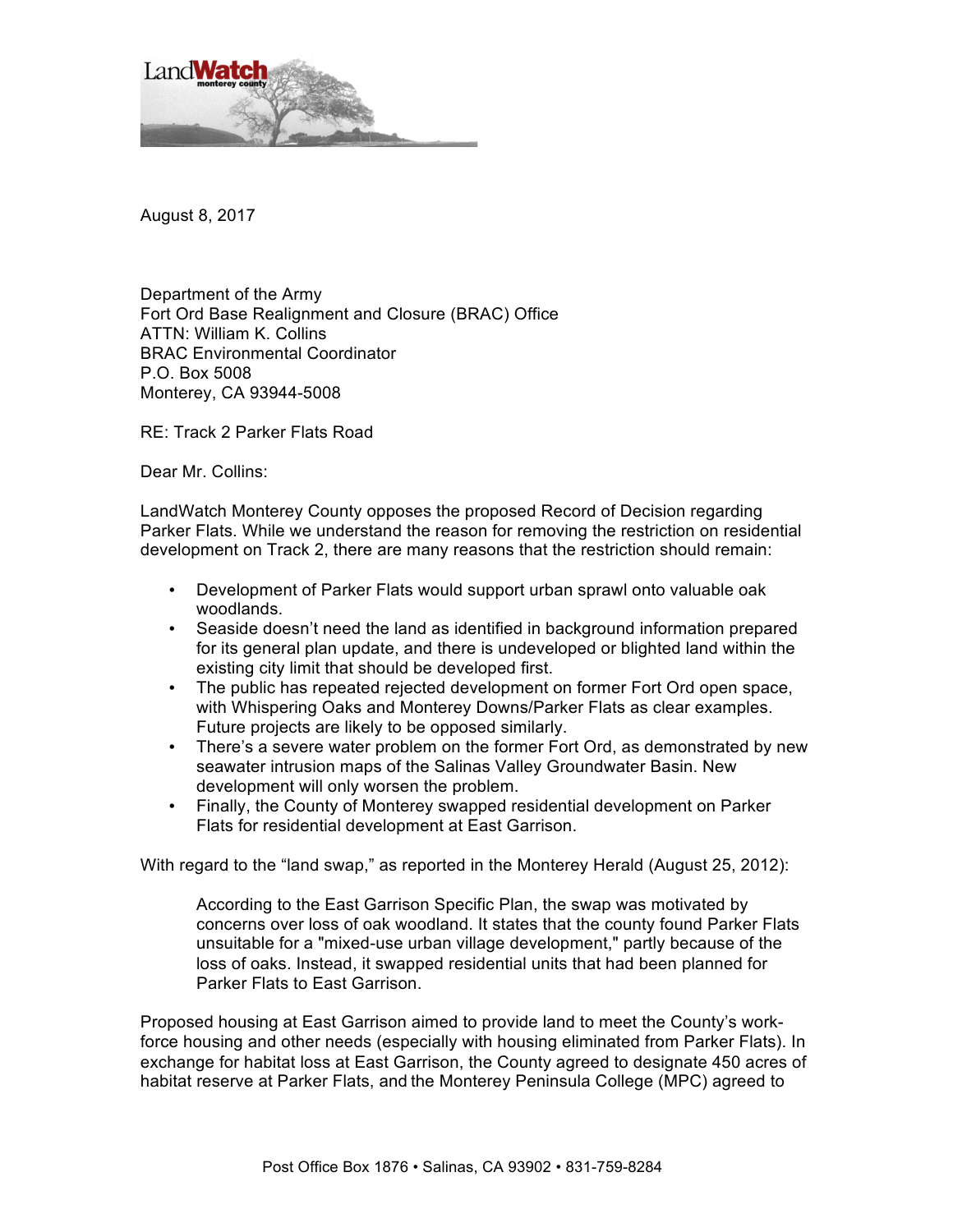

August 8, 2017

Department of the Army Fort Ord Base Realignment and Closure (BRAC) Office ATTN: William K. Collins BRAC Environmental Coordinator P.O. Box 5008 Monterey, CA 93944-5008

RE: Track 2 Parker Flats Road

Dear Mr. Collins:

LandWatch Monterey County opposes the proposed Record of Decision regarding Parker Flats. While we understand the reason for removing the restriction on residential development on Track 2, there are many reasons that the restriction should remain:

- Development of Parker Flats would support urban sprawl onto valuable oak woodlands.
- Seaside doesn't need the land as identified in background information prepared for its general plan update, and there is undeveloped or blighted land within the existing city limit that should be developed first.
- The public has repeated rejected development on former Fort Ord open space, with Whispering Oaks and Monterey Downs/Parker Flats as clear examples. Future projects are likely to be opposed similarly.
- There's a severe water problem on the former Fort Ord, as demonstrated by new seawater intrusion maps of the Salinas Valley Groundwater Basin. New development will only worsen the problem.
- Finally, the County of Monterey swapped residential development on Parker Flats for residential development at East Garrison.

With regard to the "land swap," as reported in the Monterey Herald (August 25, 2012):

According to the East Garrison Specific Plan, the swap was motivated by concerns over loss of oak woodland. It states that the county found Parker Flats unsuitable for a "mixed-use urban village development," partly because of the loss of oaks. Instead, it swapped residential units that had been planned for Parker Flats to East Garrison.

Proposed housing at East Garrison aimed to provide land to meet the County's workforce housing and other needs (especially with housing eliminated from Parker Flats). In exchange for habitat loss at East Garrison, the County agreed to designate 450 acres of habitat reserve at Parker Flats, and the Monterey Peninsula College (MPC) agreed to